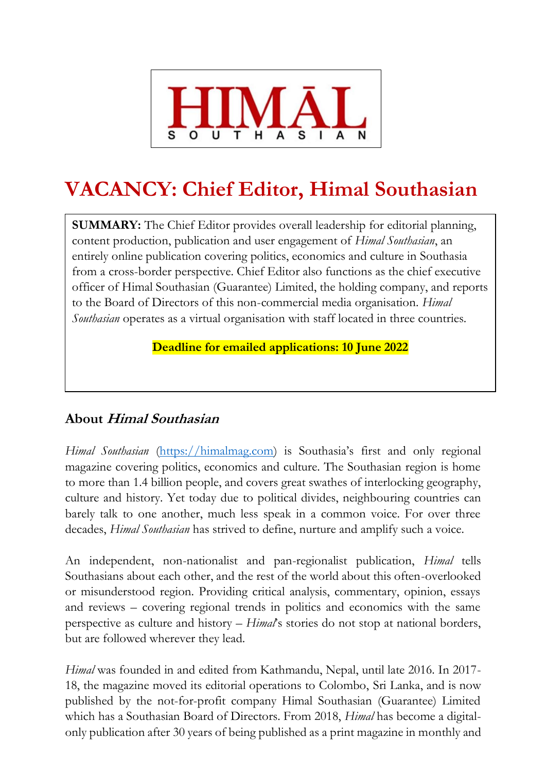

# **VACANCY: Chief Editor, Himal Southasian**

**SUMMARY:** The Chief Editor provides overall leadership for editorial planning, content production, publication and user engagement of *Himal Southasian*, an entirely online publication covering politics, economics and culture in Southasia from a cross-border perspective. Chief Editor also functions as the chief executive officer of Himal Southasian (Guarantee) Limited, the holding company, and reports to the Board of Directors of this non-commercial media organisation. *Himal Southasian* operates as a virtual organisation with staff located in three countries.

**Deadline for emailed applications: 10 June 2022**

## **About Himal Southasian**

*Himal Southasian* [\(https://himalmag.com](https://himalmag.com/)) is Southasia's first and only regional magazine covering politics, economics and culture. The Southasian region is home to more than 1.4 billion people, and covers great swathes of interlocking geography, culture and history. Yet today due to political divides, neighbouring countries can barely talk to one another, much less speak in a common voice. For over three decades, *Himal Southasian* has strived to define, nurture and amplify such a voice.

An independent, non-nationalist and pan-regionalist publication, *Himal* tells Southasians about each other, and the rest of the world about this often-overlooked or misunderstood region. Providing critical analysis, commentary, opinion, essays and reviews – covering regional trends in politics and economics with the same perspective as culture and history – *Himal*'s stories do not stop at national borders, but are followed wherever they lead.

*Himal* was founded in and edited from Kathmandu, Nepal, until late 2016. In 2017- 18, the magazine moved its editorial operations to Colombo, Sri Lanka, and is now published by the not-for-profit company Himal Southasian (Guarantee) Limited which has a Southasian Board of Directors. From 2018, *Himal* has become a digitalonly publication after 30 years of being published as a print magazine in monthly and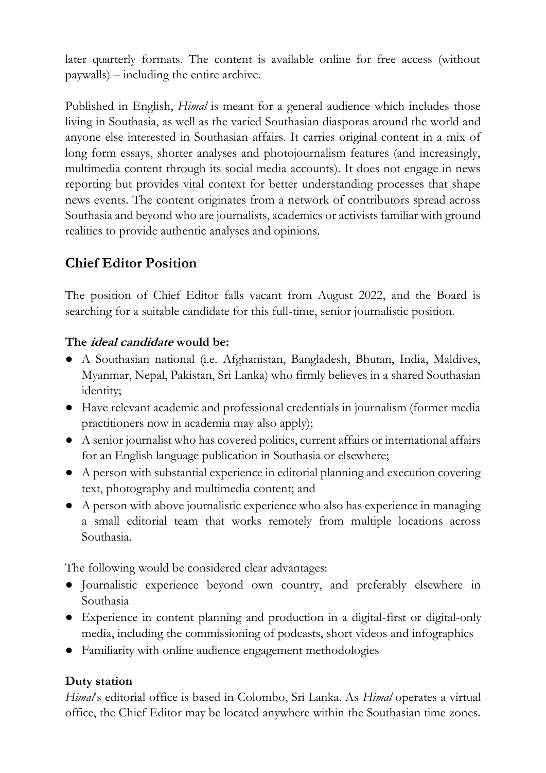later quarterly formats. The content is available online for free access (without paywalls) – including the entire archive.

Published in English, *Himal* is meant for a general audience which includes those living in Southasia, as well as the varied Southasian diasporas around the world and anyone else interested in Southasian affairs. It carries original content in a mix of long form essays, shorter analyses and photojournalism features (and increasingly, multimedia content through its social media accounts). It does not engage in news reporting but provides vital context for better understanding processes that shape news events. The content originates from a network of contributors spread across Southasia and beyond who are journalists, academics or activists familiar with ground realities to provide authentic analyses and opinions.

## **Chief Editor Position**

The position of Chief Editor falls vacant from August 2022, and the Board is searching for a suitable candidate for this full-time, senior journalistic position.

#### **The ideal candidate would be:**

- A Southasian national (i.e. Afghanistan, Bangladesh, Bhutan, India, Maldives, Myanmar, Nepal, Pakistan, Sri Lanka) who firmly believes in a shared Southasian identity;
- Have relevant academic and professional credentials in journalism (former media practitioners now in academia may also apply);
- A senior journalist who has covered politics, current affairs or international affairs for an English language publication in Southasia or elsewhere;
- A person with substantial experience in editorial planning and execution covering text, photography and multimedia content; and
- A person with above journalistic experience who also has experience in managing a small editorial team that works remotely from multiple locations across Southasia.

The following would be considered clear advantages:

- Journalistic experience beyond own country, and preferably elsewhere in Southasia
- Experience in content planning and production in a digital-first or digital-only media, including the commissioning of podcasts, short videos and infographics
- Familiarity with online audience engagement methodologies

#### **Duty station**

*Himal*'s editorial office is based in Colombo, Sri Lanka. As *Himal* operates a virtual office, the Chief Editor may be located anywhere within the Southasian time zones.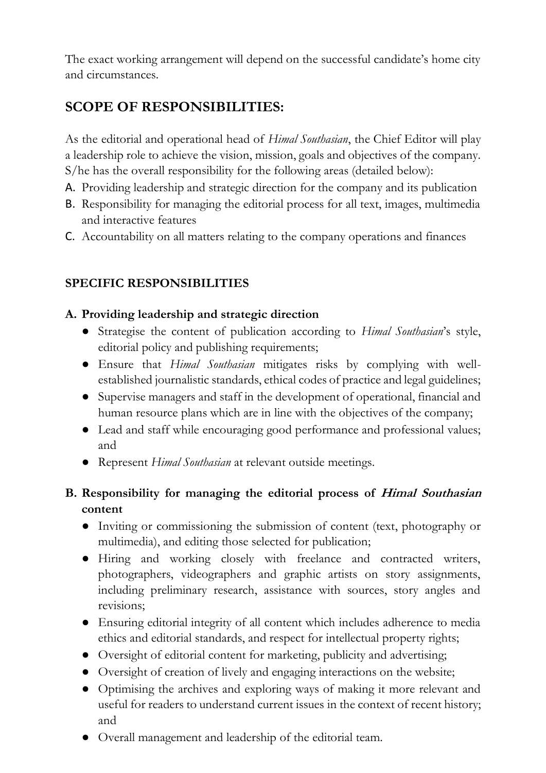The exact working arrangement will depend on the successful candidate's home city and circumstances.

# **SCOPE OF RESPONSIBILITIES:**

As the editorial and operational head of *Himal Southasian*, the Chief Editor will play a leadership role to achieve the vision, mission, goals and objectives of the company. S/he has the overall responsibility for the following areas (detailed below):

- A. Providing leadership and strategic direction for the company and its publication
- B. Responsibility for managing the editorial process for all text, images, multimedia and interactive features
- C. Accountability on all matters relating to the company operations and finances

## **SPECIFIC RESPONSIBILITIES**

#### **A. Providing leadership and strategic direction**

- Strategise the content of publication according to *Himal Southasian*'s style, editorial policy and publishing requirements;
- Ensure that *Himal Southasian* mitigates risks by complying with wellestablished journalistic standards, ethical codes of practice and legal guidelines;
- Supervise managers and staff in the development of operational, financial and human resource plans which are in line with the objectives of the company;
- Lead and staff while encouraging good performance and professional values; and
- Represent *Himal Southasian* at relevant outside meetings.

## **B. Responsibility for managing the editorial process of Himal Southasian content**

- Inviting or commissioning the submission of content (text, photography or multimedia), and editing those selected for publication;
- Hiring and working closely with freelance and contracted writers, photographers, videographers and graphic artists on story assignments, including preliminary research, assistance with sources, story angles and revisions;
- Ensuring editorial integrity of all content which includes adherence to media ethics and editorial standards, and respect for intellectual property rights;
- Oversight of editorial content for marketing, publicity and advertising;
- Oversight of creation of lively and engaging interactions on the website;
- Optimising the archives and exploring ways of making it more relevant and useful for readers to understand current issues in the context of recent history; and
- Overall management and leadership of the editorial team.